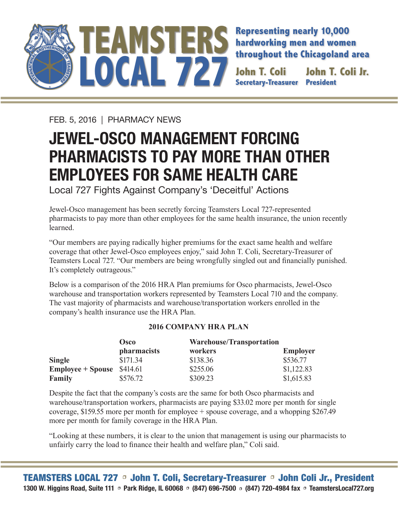

**Representing nearly 10,000 hardworking men and women throughout the Chicagoland area**

**Secretary-Treasurer John T. Coli Jr.** 

FEB. 5, 2016 | PHARMACY NEWS

## **JEWEL-OSCO MANAGEMENT FORCING PHARMACISTS TO PAY MORE THAN OTHER EMPLOYEES FOR SAME HEALTH CARE**

Local 727 Fights Against Company's 'Deceitful' Actions

Jewel-Osco management has been secretly forcing Teamsters Local 727-represented pharmacists to pay more than other employees for the same health insurance, the union recently learned.

"Our members are paying radically higher premiums for the exact same health and welfare coverage that other Jewel-Osco employees enjoy," said John T. Coli, Secretary-Treasurer of Teamsters Local 727. "Our members are being wrongfully singled out and financially punished. It's completely outrageous."

Below is a comparison of the 2016 HRA Plan premiums for Osco pharmacists, Jewel-Osco warehouse and transportation workers represented by Teamsters Local 710 and the company. The vast majority of pharmacists and warehouse/transportation workers enrolled in the company's health insurance use the HRA Plan.

## **2016 COMPANY HRA PLAN**

|                          | <b>Osco</b> | <b>Warehouse/Transportation</b> |                 |
|--------------------------|-------------|---------------------------------|-----------------|
|                          | pharmacists | workers                         | <b>Employer</b> |
| <b>Single</b>            | \$171.34    | \$138.36                        | \$536.77        |
| <b>Employee + Spouse</b> | \$414.61    | \$255.06                        | \$1,122.83      |
| <b>Family</b>            | \$576.72    | \$309.23                        | \$1,615.83      |

Despite the fact that the company's costs are the same for both Osco pharmacists and warehouse/transportation workers, pharmacists are paying \$33.02 more per month for single coverage, \$159.55 more per month for employee + spouse coverage, and a whopping \$267.49 more per month for family coverage in the HRA Plan.

"Looking at these numbers, it is clear to the union that management is using our pharmacists to unfairly carry the load to finance their health and welfare plan," Coli said.